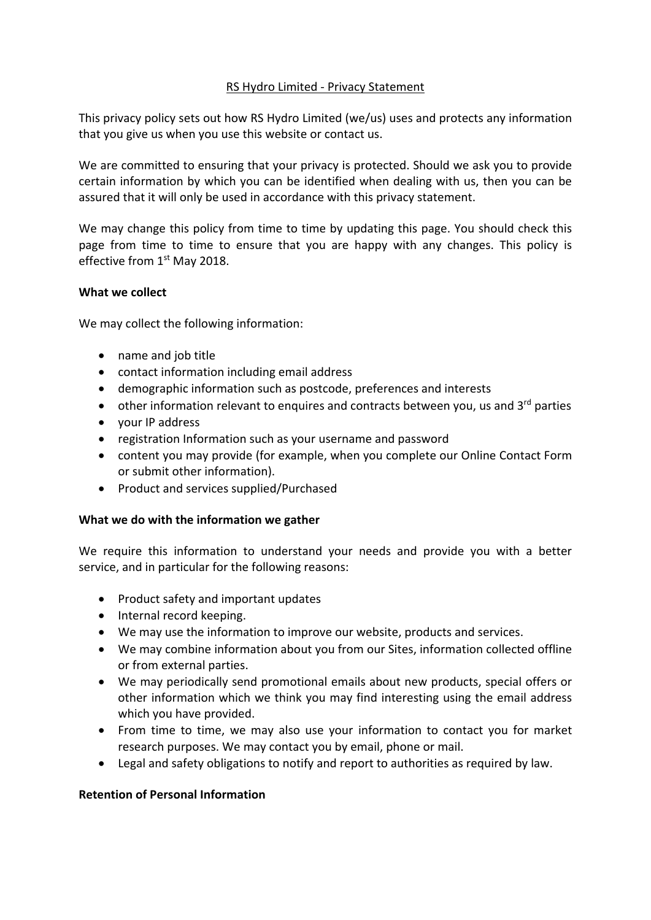# RS Hydro Limited ‐ Privacy Statement

This privacy policy sets out how RS Hydro Limited (we/us) uses and protects any information that you give us when you use this website or contact us.

We are committed to ensuring that your privacy is protected. Should we ask you to provide certain information by which you can be identified when dealing with us, then you can be assured that it will only be used in accordance with this privacy statement.

We may change this policy from time to time by updating this page. You should check this page from time to time to ensure that you are happy with any changes. This policy is effective from 1<sup>st</sup> May 2018.

### **What we collect**

We may collect the following information:

- name and job title
- contact information including email address
- demographic information such as postcode, preferences and interests
- $\bullet$  other information relevant to enquires and contracts between you, us and 3<sup>rd</sup> parties
- your IP address
- registration Information such as your username and password
- content you may provide (for example, when you complete our Online Contact Form or submit other information).
- Product and services supplied/Purchased

# **What we do with the information we gather**

We require this information to understand your needs and provide you with a better service, and in particular for the following reasons:

- Product safety and important updates
- Internal record keeping.
- We may use the information to improve our website, products and services.
- We may combine information about you from our Sites, information collected offline or from external parties.
- We may periodically send promotional emails about new products, special offers or other information which we think you may find interesting using the email address which you have provided.
- From time to time, we may also use your information to contact you for market research purposes. We may contact you by email, phone or mail.
- Legal and safety obligations to notify and report to authorities as required by law.

# **Retention of Personal Information**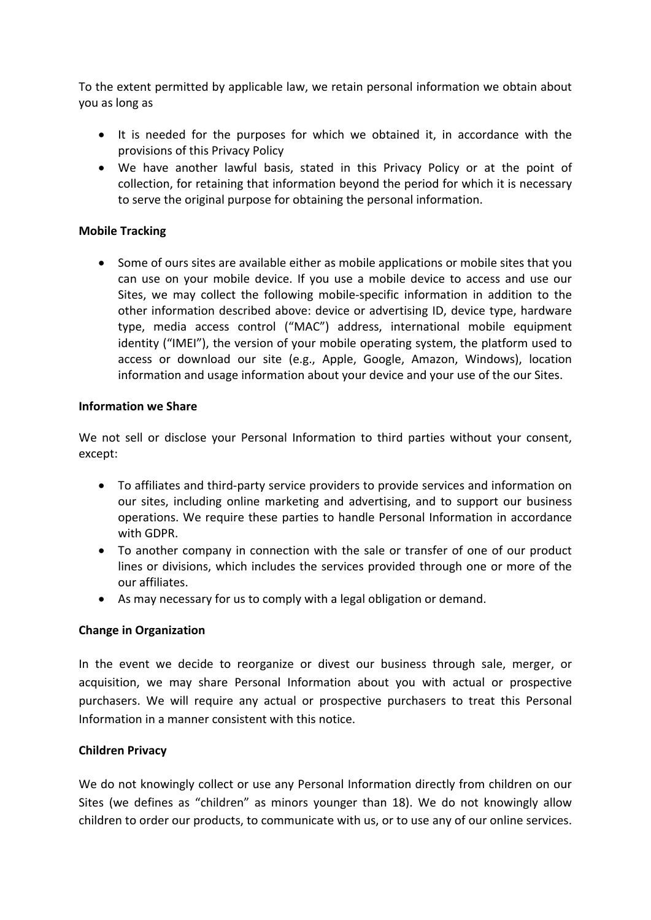To the extent permitted by applicable law, we retain personal information we obtain about you as long as

- It is needed for the purposes for which we obtained it, in accordance with the provisions of this Privacy Policy
- We have another lawful basis, stated in this Privacy Policy or at the point of collection, for retaining that information beyond the period for which it is necessary to serve the original purpose for obtaining the personal information.

### **Mobile Tracking**

 Some of ours sites are available either as mobile applications or mobile sites that you can use on your mobile device. If you use a mobile device to access and use our Sites, we may collect the following mobile‐specific information in addition to the other information described above: device or advertising ID, device type, hardware type, media access control ("MAC") address, international mobile equipment identity ("IMEI"), the version of your mobile operating system, the platform used to access or download our site (e.g., Apple, Google, Amazon, Windows), location information and usage information about your device and your use of the our Sites.

### **Information we Share**

We not sell or disclose your Personal Information to third parties without your consent. except:

- To affiliates and third‐party service providers to provide services and information on our sites, including online marketing and advertising, and to support our business operations. We require these parties to handle Personal Information in accordance with GDPR.
- To another company in connection with the sale or transfer of one of our product lines or divisions, which includes the services provided through one or more of the our affiliates.
- As may necessary for us to comply with a legal obligation or demand.

# **Change in Organization**

In the event we decide to reorganize or divest our business through sale, merger, or acquisition, we may share Personal Information about you with actual or prospective purchasers. We will require any actual or prospective purchasers to treat this Personal Information in a manner consistent with this notice.

#### **Children Privacy**

We do not knowingly collect or use any Personal Information directly from children on our Sites (we defines as "children" as minors younger than 18). We do not knowingly allow children to order our products, to communicate with us, or to use any of our online services.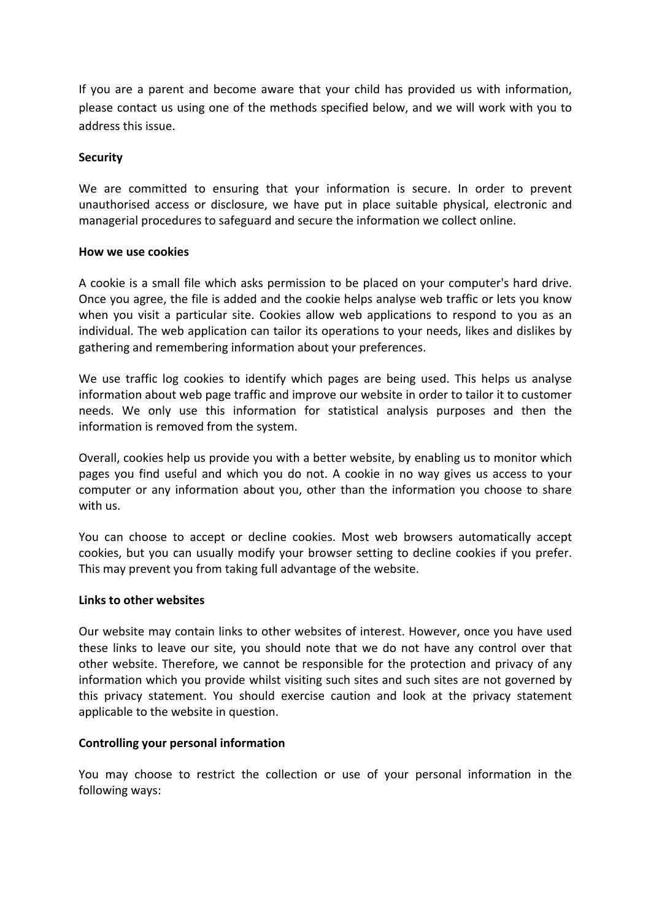If you are a parent and become aware that your child has provided us with information, please contact us using one of the methods specified below, and we will work with you to address this issue.

### **Security**

We are committed to ensuring that your information is secure. In order to prevent unauthorised access or disclosure, we have put in place suitable physical, electronic and managerial procedures to safeguard and secure the information we collect online.

#### **How we use cookies**

A cookie is a small file which asks permission to be placed on your computer's hard drive. Once you agree, the file is added and the cookie helps analyse web traffic or lets you know when you visit a particular site. Cookies allow web applications to respond to you as an individual. The web application can tailor its operations to your needs, likes and dislikes by gathering and remembering information about your preferences.

We use traffic log cookies to identify which pages are being used. This helps us analyse information about web page traffic and improve our website in order to tailor it to customer needs. We only use this information for statistical analysis purposes and then the information is removed from the system.

Overall, cookies help us provide you with a better website, by enabling us to monitor which pages you find useful and which you do not. A cookie in no way gives us access to your computer or any information about you, other than the information you choose to share with us.

You can choose to accept or decline cookies. Most web browsers automatically accept cookies, but you can usually modify your browser setting to decline cookies if you prefer. This may prevent you from taking full advantage of the website.

#### **Links to other websites**

Our website may contain links to other websites of interest. However, once you have used these links to leave our site, you should note that we do not have any control over that other website. Therefore, we cannot be responsible for the protection and privacy of any information which you provide whilst visiting such sites and such sites are not governed by this privacy statement. You should exercise caution and look at the privacy statement applicable to the website in question.

# **Controlling your personal information**

You may choose to restrict the collection or use of your personal information in the following ways: